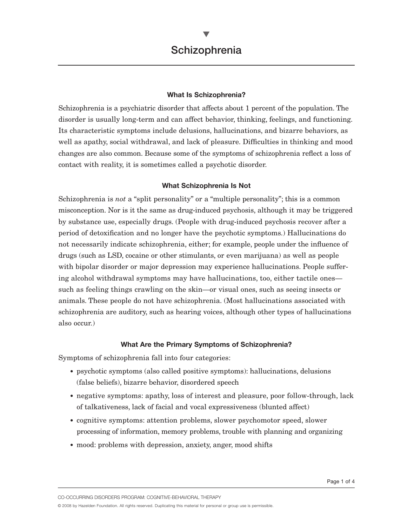### **What Is Schizophrenia?**

Schizophrenia is a psychiatric disorder that affects about 1 percent of the population. The disorder is usually long-term and can affect behavior, thinking, feelings, and functioning. Its characteristic symptoms include delusions, hallucinations, and bizarre behaviors, as well as apathy, social withdrawal, and lack of pleasure. Difficulties in thinking and mood changes are also common. Because some of the symptoms of schizophrenia reflect a loss of contact with reality, it is sometimes called a psychotic disorder.

### **What Schizophrenia Is Not**

Schizophrenia is *not* a "split personality" or a "multiple personality"; this is a common misconception. Nor is it the same as drug-induced psychosis, although it may be triggered by substance use, especially drugs. (People with drug-induced psychosis recover after a period of detoxification and no longer have the psychotic symptoms.) Hallucinations do not necessarily indicate schizophrenia, either; for example, people under the influence of drugs (such as LSD, cocaine or other stimulants, or even marijuana) as well as people with bipolar disorder or major depression may experience hallucinations. People suffering alcohol withdrawal symptoms may have hallucinations, too, either tactile ones such as feeling things crawling on the skin—or visual ones, such as seeing insects or animals. These people do not have schizophrenia. (Most hallucinations associated with schizophrenia are auditory, such as hearing voices, although other types of hallucinations also occur.)

### **What Are the Primary Symptoms of Schizophrenia?**

Symptoms of schizophrenia fall into four categories:

- psychotic symptoms (also called positive symptoms): hallucinations, delusions (false beliefs), bizarre behavior, disordered speech
- negative symptoms: apathy, loss of interest and pleasure, poor follow-through, lack of talkativeness, lack of facial and vocal expressiveness (blunted affect)
- cognitive symptoms: attention problems, slower psychomotor speed, slower processing of information, memory problems, trouble with planning and organizing
- mood: problems with depression, anxiety, anger, mood shifts

CO-OCCURRING DISORDERS PROGRAM: COGNITIVE-BEHAVIORAL THERAPY

© 2008 by Hazelden Foundation. All rights reserved. Duplicating this material for personal or group use is permissible.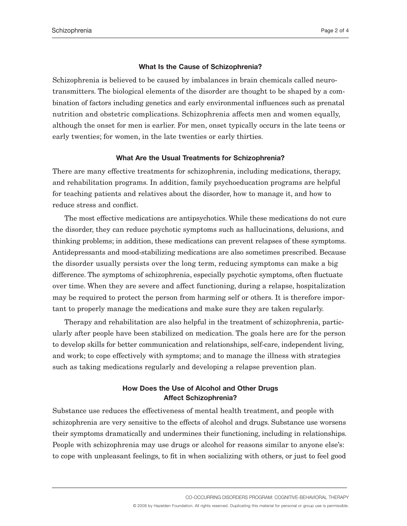#### **What Is the Cause of Schizophrenia?**

Schizophrenia is believed to be caused by imbalances in brain chemicals called neurotransmitters. The biological elements of the disorder are thought to be shaped by a combination of factors including genetics and early environmental influences such as prenatal nutrition and obstetric complications. Schizophrenia affects men and women equally, although the onset for men is earlier. For men, onset typically occurs in the late teens or early twenties; for women, in the late twenties or early thirties.

#### **What Are the Usual Treatments for Schizophrenia?**

There are many effective treatments for schizophrenia, including medications, therapy, and rehabilitation programs. In addition, family psychoeducation programs are helpful for teaching patients and relatives about the disorder, how to manage it, and how to reduce stress and conflict.

The most effective medications are antipsychotics. While these medications do not cure the disorder, they can reduce psychotic symptoms such as hallucinations, delusions, and thinking problems; in addition, these medications can prevent relapses of these symptoms. Antidepressants and mood-stabilizing medications are also sometimes prescribed. Because the disorder usually persists over the long term, reducing symptoms can make a big difference. The symptoms of schizophrenia, especially psychotic symptoms, often fluctuate over time. When they are severe and affect functioning, during a relapse, hospitalization may be required to protect the person from harming self or others. It is therefore important to properly manage the medications and make sure they are taken regularly.

Therapy and rehabilitation are also helpful in the treatment of schizophrenia, particularly after people have been stabilized on medication. The goals here are for the person to develop skills for better communication and relationships, self-care, independent living, and work; to cope effectively with symptoms; and to manage the illness with strategies such as taking medications regularly and developing a relapse prevention plan.

## **How Does the Use of Alcohol and Other Drugs Affect Schizophrenia?**

Substance use reduces the effectiveness of mental health treatment, and people with schizophrenia are very sensitive to the effects of alcohol and drugs. Substance use worsens their symptoms dramatically and undermines their functioning, including in relationships. People with schizophrenia may use drugs or alcohol for reasons similar to anyone else's: to cope with unpleasant feelings, to fit in when socializing with others, or just to feel good

CO-OCCURRING DISORDERS PROGRAM: COGNITIVE-BEHAVIORAL THERAPY

© 2008 by Hazelden Foundation. All rights reserved. Duplicating this material for personal or group use is permissible.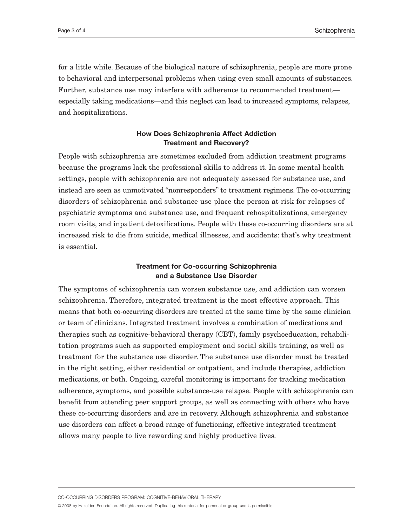for a little while. Because of the biological nature of schizophrenia, people are more prone to behavioral and interpersonal problems when using even small amounts of substances. Further, substance use may interfere with adherence to recommended treatment especially taking medications—and this neglect can lead to increased symptoms, relapses, and hospitalizations.

# **How Does Schizophrenia Affect Addiction Treatment and Recovery?**

People with schizophrenia are sometimes excluded from addiction treatment programs because the programs lack the professional skills to address it. In some mental health settings, people with schizophrenia are not adequately assessed for substance use, and instead are seen as unmotivated "nonresponders" to treatment regimens. The co-occurring disorders of schizophrenia and substance use place the person at risk for relapses of psychiatric symptoms and substance use, and frequent rehospitalizations, emergency room visits, and inpatient detoxifications. People with these co-occurring disorders are at increased risk to die from suicide, medical illnesses, and accidents: that's why treatment is essential.

## **Treatment for Co-occurring Schizophrenia and a Substance Use Disorder**

The symptoms of schizophrenia can worsen substance use, and addiction can worsen schizophrenia. Therefore, integrated treatment is the most effective approach. This means that both co-occurring disorders are treated at the same time by the same clinician or team of clinicians. Integrated treatment involves a combination of medications and therapies such as cognitive-behavioral therapy (CBT), family psychoeducation, rehabilitation programs such as supported employment and social skills training, as well as treatment for the substance use disorder. The substance use disorder must be treated in the right setting, either residential or outpatient, and include therapies, addiction medications, or both. Ongoing, careful monitoring is important for tracking medication adherence, symptoms, and possible substance-use relapse. People with schizophrenia can benefit from attending peer support groups, as well as connecting with others who have these co-occurring disorders and are in recovery. Although schizophrenia and substance use disorders can affect a broad range of functioning, effective integrated treatment allows many people to live rewarding and highly productive lives.

CO-OCCURRING DISORDERS PROGRAM: COGNITIVE-BEHAVIORAL THERAPY

© 2008 by Hazelden Foundation. All rights reserved. Duplicating this material for personal or group use is permissible.